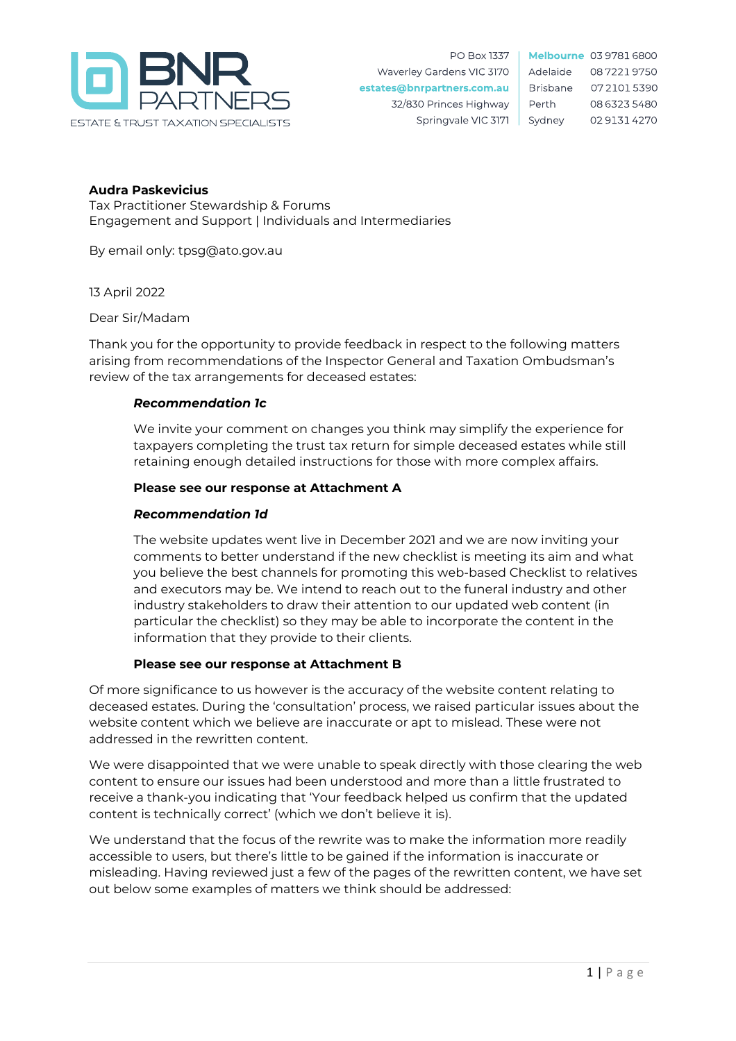

Melbourne 03 9781 6800 Adelaide 0872219750 **Brisbane** 0721015390 Perth 08 6323 5480 Sydney 0291314270

# **Audra Paskevicius**

Tax Practitioner Stewardship & Forums Engagement and Support | Individuals and Intermediaries

By email only: tpsg@ato.gov.au

13 April 2022

Dear Sir/Madam

Thank you for the opportunity to provide feedback in respect to the following matters arising from recommendations of the Inspector General and Taxation Ombudsman's review of the tax arrangements for deceased estates:

### *Recommendation 1c*

We invite your comment on changes you think may simplify the experience for taxpayers completing the trust tax return for simple deceased estates while still retaining enough detailed instructions for those with more complex affairs.

#### **Please see our response at Attachment A**

### *Recommendation 1d*

The website updates went live in December 2021 and we are now inviting your comments to better understand if the new checklist is meeting its aim and what you believe the best channels for promoting this web-based Checklist to relatives and executors may be. We intend to reach out to the funeral industry and other industry stakeholders to draw their attention to our updated web content (in particular the checklist) so they may be able to incorporate the content in the information that they provide to their clients.

#### **Please see our response at Attachment B**

Of more significance to us however is the accuracy of the website content relating to deceased estates. During the 'consultation' process, we raised particular issues about the website content which we believe are inaccurate or apt to mislead. These were not addressed in the rewritten content.

We were disappointed that we were unable to speak directly with those clearing the web content to ensure our issues had been understood and more than a little frustrated to receive a thank-you indicating that 'Your feedback helped us confirm that the updated content is technically correct' (which we don't believe it is).

We understand that the focus of the rewrite was to make the information more readily accessible to users, but there's little to be gained if the information is inaccurate or misleading. Having reviewed just a few of the pages of the rewritten content, we have set out below some examples of matters we think should be addressed: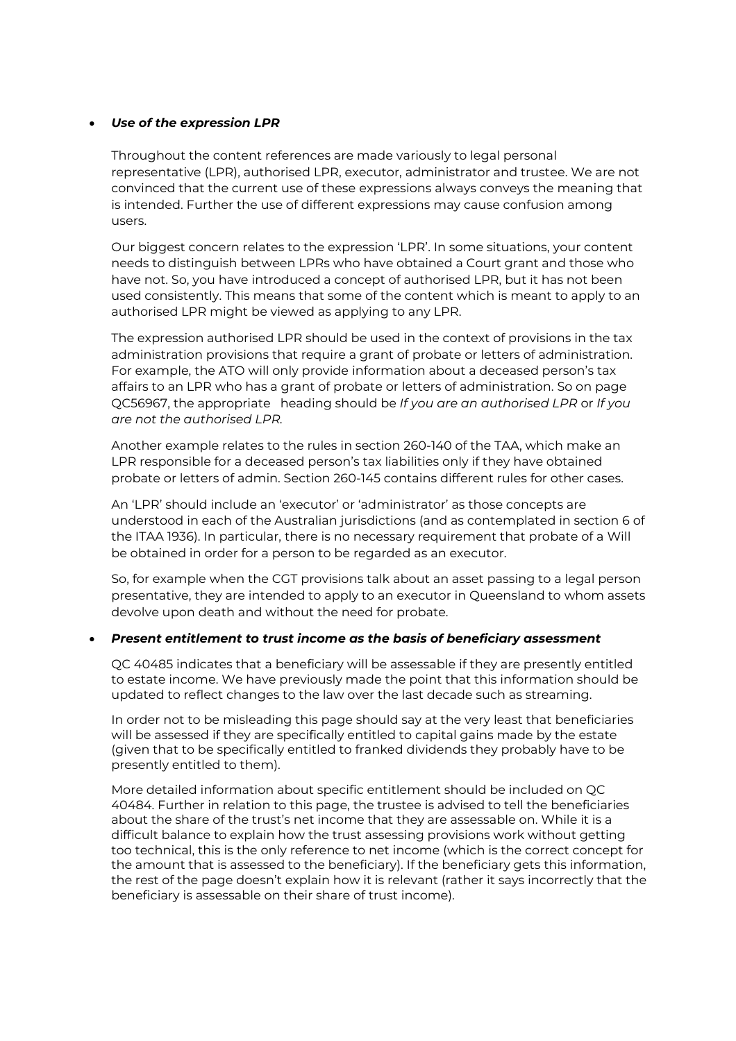### *Use of the expression LPR*

Throughout the content references are made variously to legal personal representative (LPR), authorised LPR, executor, administrator and trustee. We are not convinced that the current use of these expressions always conveys the meaning that is intended. Further the use of different expressions may cause confusion among users.

Our biggest concern relates to the expression 'LPR'. In some situations, your content needs to distinguish between LPRs who have obtained a Court grant and those who have not. So, you have introduced a concept of authorised LPR, but it has not been used consistently. This means that some of the content which is meant to apply to an authorised LPR might be viewed as applying to any LPR.

The expression authorised LPR should be used in the context of provisions in the tax administration provisions that require a grant of probate or letters of administration. For example, the ATO will only provide information about a deceased person's tax affairs to an LPR who has a grant of probate or letters of administration. So on page QC56967, the appropriate heading should be *If you are an authorised LPR* or *If you are not the authorised LPR.*

Another example relates to the rules in section 260-140 of the TAA, which make an LPR responsible for a deceased person's tax liabilities only if they have obtained probate or letters of admin. Section 260-145 contains different rules for other cases.

An 'LPR' should include an 'executor' or 'administrator' as those concepts are understood in each of the Australian jurisdictions (and as contemplated in section 6 of the ITAA 1936). In particular, there is no necessary requirement that probate of a Will be obtained in order for a person to be regarded as an executor.

So, for example when the CGT provisions talk about an asset passing to a legal person presentative, they are intended to apply to an executor in Queensland to whom assets devolve upon death and without the need for probate.

#### *Present entitlement to trust income as the basis of beneficiary assessment*

QC 40485 indicates that a beneficiary will be assessable if they are presently entitled to estate income. We have previously made the point that this information should be updated to reflect changes to the law over the last decade such as streaming.

In order not to be misleading this page should say at the very least that beneficiaries will be assessed if they are specifically entitled to capital gains made by the estate (given that to be specifically entitled to franked dividends they probably have to be presently entitled to them).

More detailed information about specific entitlement should be included on QC 40484. Further in relation to this page, the trustee is advised to tell the beneficiaries about the share of the trust's net income that they are assessable on. While it is a difficult balance to explain how the trust assessing provisions work without getting too technical, this is the only reference to net income (which is the correct concept for the amount that is assessed to the beneficiary). If the beneficiary gets this information, the rest of the page doesn't explain how it is relevant (rather it says incorrectly that the beneficiary is assessable on their share of trust income).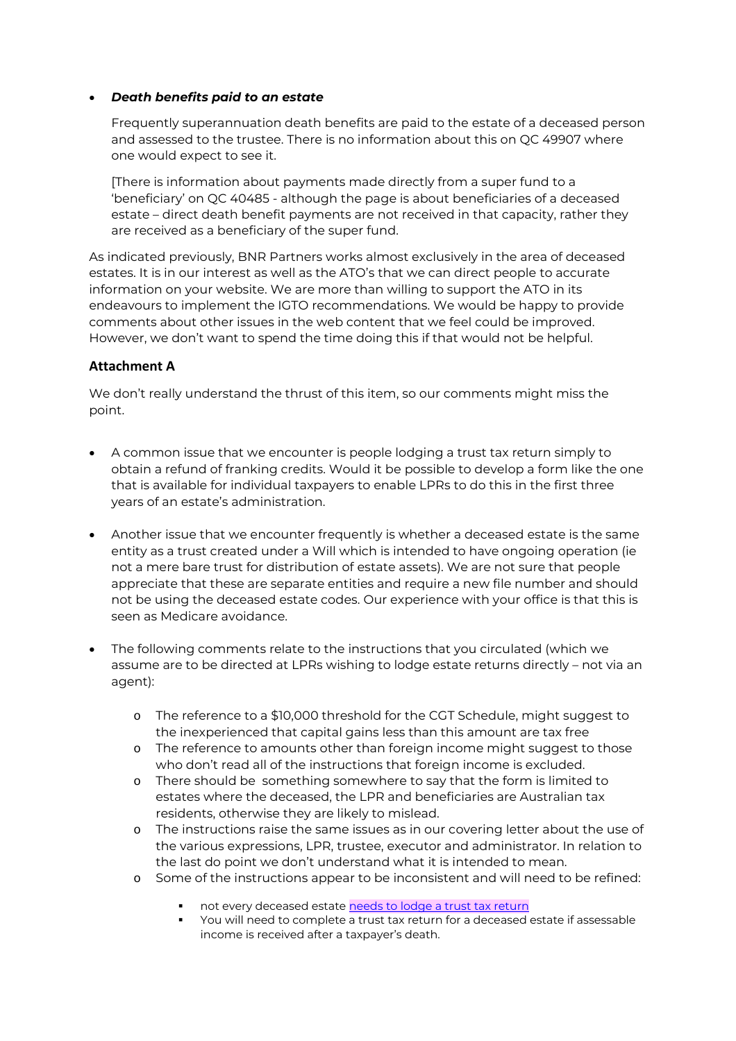### *Death benefits paid to an estate*

Frequently superannuation death benefits are paid to the estate of a deceased person and assessed to the trustee. There is no information about this on QC 49907 where one would expect to see it.

[There is information about payments made directly from a super fund to a 'beneficiary' on QC 40485 - although the page is about beneficiaries of a deceased estate – direct death benefit payments are not received in that capacity, rather they are received as a beneficiary of the super fund.

As indicated previously, BNR Partners works almost exclusively in the area of deceased estates. It is in our interest as well as the ATO's that we can direct people to accurate information on your website. We are more than willing to support the ATO in its endeavours to implement the IGTO recommendations. We would be happy to provide comments about other issues in the web content that we feel could be improved. However, we don't want to spend the time doing this if that would not be helpful.

# **Attachment A**

We don't really understand the thrust of this item, so our comments might miss the point.

- A common issue that we encounter is people lodging a trust tax return simply to obtain a refund of franking credits. Would it be possible to develop a form like the one that is available for individual taxpayers to enable LPRs to do this in the first three years of an estate's administration.
- Another issue that we encounter frequently is whether a deceased estate is the same entity as a trust created under a Will which is intended to have ongoing operation (ie not a mere bare trust for distribution of estate assets). We are not sure that people appreciate that these are separate entities and require a new file number and should not be using the deceased estate codes. Our experience with your office is that this is seen as Medicare avoidance.
- The following comments relate to the instructions that you circulated (which we assume are to be directed at LPRs wishing to lodge estate returns directly – not via an agent):
	- o The reference to a \$10,000 threshold for the CGT Schedule, might suggest to the inexperienced that capital gains less than this amount are tax free
	- o The reference to amounts other than foreign income might suggest to those who don't read all of the instructions that foreign income is excluded.
	- o There should be something somewhere to say that the form is limited to estates where the deceased, the LPR and beneficiaries are Australian tax residents, otherwise they are likely to mislead.
	- o The instructions raise the same issues as in our covering letter about the use of the various expressions, LPR, trustee, executor and administrator. In relation to the last do point we don't understand what it is intended to mean.
	- o Some of the instructions appear to be inconsistent and will need to be refined:
		- not every deceased estate needs to lodge a trust tax return
		- You will need to complete a trust tax return for a deceased estate if assessable income is received after a taxpayer's death.